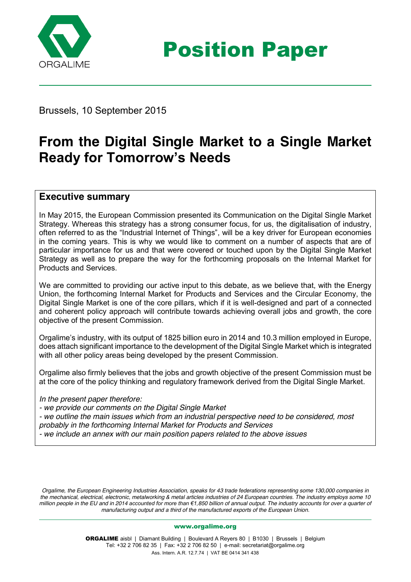

Position Paper

Brussels, 10 September 2015

# **From the Digital Single Market to a Single Market Ready for Tomorrow's Needs**

### **Executive summary**

In May 2015, the European Commission presented its Communication on the Digital Single Market Strategy. Whereas this strategy has a strong consumer focus, for us, the digitalisation of industry, often referred to as the "Industrial Internet of Things", will be a key driver for European economies in the coming years. This is why we would like to comment on a number of aspects that are of particular importance for us and that were covered or touched upon by the Digital Single Market Strategy as well as to prepare the way for the forthcoming proposals on the Internal Market for Products and Services.

We are committed to providing our active input to this debate, as we believe that, with the Energy Union, the forthcoming Internal Market for Products and Services and the Circular Economy, the Digital Single Market is one of the core pillars, which if it is well-designed and part of a connected and coherent policy approach will contribute towards achieving overall jobs and growth, the core objective of the present Commission.

Orgalime's industry, with its output of 1825 billion euro in 2014 and 10.3 million employed in Europe, does attach significant importance to the development of the Digital Single Market which is integrated with all other policy areas being developed by the present Commission.

Orgalime also firmly believes that the jobs and growth objective of the present Commission must be at the core of the policy thinking and regulatory framework derived from the Digital Single Market.

*In the present paper therefore:*

*- we provide our comments on the Digital Single Market - we outline the main issues which from an industrial perspective need to be considered, most probably in the forthcoming Internal Market for Products and Services - we include an annex with our main position papers related to the above issues*

*Orgalime, the European Engineering Industries Association, speaks for 43 trade federations representing some 130,000 companies in the mechanical, electrical, electronic, metalworking & metal articles industries of 24 European countries. The industry employs some 10 million people in the EU and in 2014 accounted for more than €1,850 billion of annual output. The industry accounts for over a quarter of manufacturing output and a third of the manufactured exports of the European Union.*

### [www.orgalime.org](http://www.orgalime.org/)

ORGALIME aisbl | Diamant Building | Boulevard A Reyers 80 | B1030 | Brussels | Belgium Tel: +32 2 706 82 35 | Fax: +32 2 706 82 50 | e-mail[: secretariat@orgalime.org](mailto:secretariat@orgalime.org) Ass. Intern. A.R. 12.7.74 | VAT BE 0414 341 438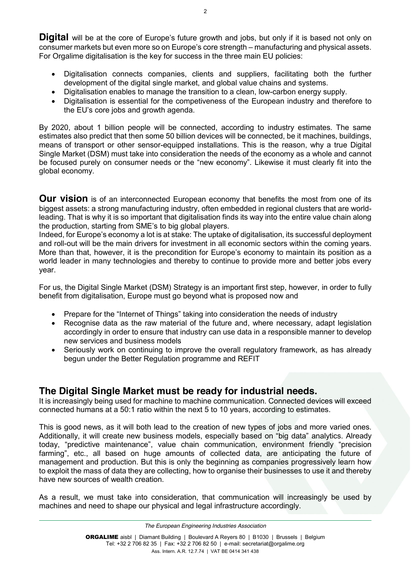**Digital** will be at the core of Europe's future growth and jobs, but only if it is based not only on consumer markets but even more so on Europe's core strength – manufacturing and physical assets. For Orgalime digitalisation is the key for success in the three main EU policies:

- Digitalisation connects companies, clients and suppliers, facilitating both the further development of the digital single market, and global value chains and systems.
- Digitalisation enables to manage the transition to a clean, low-carbon energy supply.
- Digitalisation is essential for the competiveness of the European industry and therefore to the EU's core jobs and growth agenda.

By 2020, about 1 billion people will be connected, according to industry estimates. The same estimates also predict that then some 50 billion devices will be connected, be it machines, buildings, means of transport or other sensor-equipped installations. This is the reason, why a true Digital Single Market (DSM) must take into consideration the needs of the economy as a whole and cannot be focused purely on consumer needs or the "new economy". Likewise it must clearly fit into the global economy.

**Our vision** is of an interconnected European economy that benefits the most from one of its biggest assets: a strong manufacturing industry, often embedded in regional clusters that are worldleading. That is why it is so important that digitalisation finds its way into the entire value chain along the production, starting from SME's to big global players.

Indeed, for Europe's economy a lot is at stake: The uptake of digitalisation, its successful deployment and roll-out will be the main drivers for investment in all economic sectors within the coming years. More than that, however, it is the precondition for Europe's economy to maintain its position as a world leader in many technologies and thereby to continue to provide more and better jobs every year.

For us, the Digital Single Market (DSM) Strategy is an important first step, however, in order to fully benefit from digitalisation, Europe must go beyond what is proposed now and

- Prepare for the "Internet of Things" taking into consideration the needs of industry
- Recognise data as the raw material of the future and, where necessary, adapt legislation accordingly in order to ensure that industry can use data in a responsible manner to develop new services and business models
- Seriously work on continuing to improve the overall regulatory framework, as has already begun under the Better Regulation programme and REFIT

# **The Digital Single Market must be ready for industrial needs.**

It is increasingly being used for machine to machine communication. Connected devices will exceed connected humans at a 50:1 ratio within the next 5 to 10 years, according to estimates.

This is good news, as it will both lead to the creation of new types of jobs and more varied ones. Additionally, it will create new business models, especially based on "big data" analytics. Already today, "predictive maintenance", value chain communication, environment friendly "precision farming", etc., all based on huge amounts of collected data, are anticipating the future of management and production. But this is only the beginning as companies progressively learn how to exploit the mass of data they are collecting, how to organise their businesses to use it and thereby have new sources of wealth creation.

As a result, we must take into consideration, that communication will increasingly be used by machines and need to shape our physical and legal infrastructure accordingly.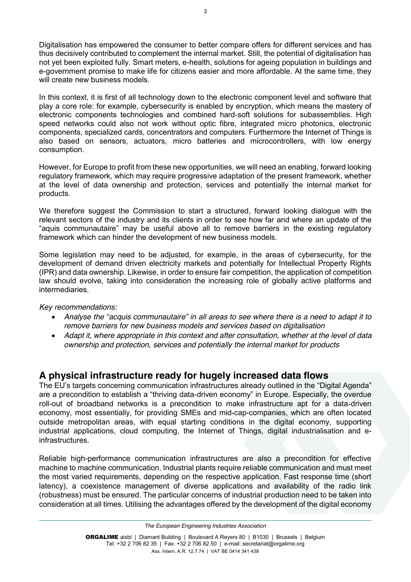Digitalisation has empowered the consumer to better compare offers for different services and has thus decisively contributed to complement the internal market. Still, the potential of digitalisation has not yet been exploited fully. Smart meters, e-health, solutions for ageing population in buildings and e-government promise to make life for citizens easier and more affordable. At the same time, they will create new business models.

In this context, it is first of all technology down to the electronic component level and software that play a core role: for example, cybersecurity is enabled by encryption, which means the mastery of electronic components technologies and combined hard-soft solutions for subassemblies. High speed networks could also not work without optic fibre, integrated micro photonics, electronic components, specialized cards, concentrators and computers. Furthermore the Internet of Things is also based on sensors, actuators, micro batteries and microcontrollers, with low energy consumption.

However, for Europe to profit from these new opportunities, we will need an enabling, forward looking regulatory framework, which may require progressive adaptation of the present framework, whether at the level of data ownership and protection, services and potentially the internal market for products.

We therefore suggest the Commission to start a structured, forward looking dialogue with the relevant sectors of the industry and its clients in order to see how far and where an update of the "aquis communautaire" may be useful above all to remove barriers in the existing regulatory framework which can hinder the development of new business models.

Some legislation may need to be adjusted, for example, in the areas of cybersecurity, for the development of demand driven electricity markets and potentially for Intellectual Property Rights (IPR) and data ownership. Likewise, in order to ensure fair competition, the application of competition law should evolve, taking into consideration the increasing role of globally active platforms and intermediaries.

### *Key recommendations:*

- *Analyse the "acquis communautaire" in all areas to see where there is a need to adapt it to remove barriers for new business models and services based on digitalisation*
- *Adapt it, where appropriate in this context and after consultation, whether at the level of data ownership and protection, services and potentially the internal market for products*

# **A physical infrastructure ready for hugely increased data flows**

The EU's targets concerning communication infrastructures already outlined in the "Digital Agenda" are a precondition to establish a "thriving data-driven economy" in Europe. Especially, the overdue roll-out of broadband networks is a precondition to make infrastructure apt for a data-driven economy, most essentially, for providing SMEs and mid-cap-companies, which are often located outside metropolitan areas, with equal starting conditions in the digital economy, supporting industrial applications, cloud computing, the Internet of Things, digital industrialisation and einfrastructures.

Reliable high-performance communication infrastructures are also a precondition for effective machine to machine communication. Industrial plants require reliable communication and must meet the most varied requirements, depending on the respective application. Fast response time (short latency), a coexistence management of diverse applications and availability of the radio link (robustness) must be ensured. The particular concerns of industrial production need to be taken into consideration at all times. Utilising the advantages offered by the development of the digital economy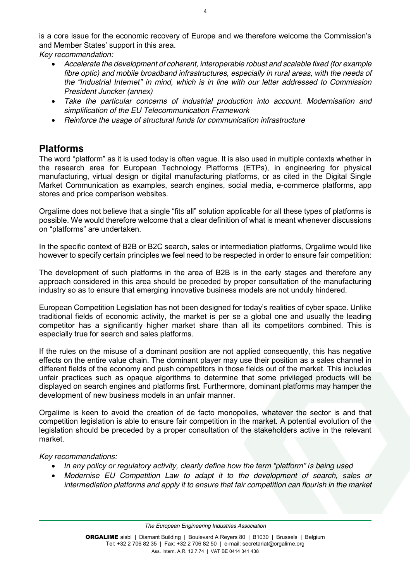is a core issue for the economic recovery of Europe and we therefore welcome the Commission's and Member States' support in this area.

*Key recommendation:*

- *Accelerate the development of coherent, interoperable robust and scalable fixed (for example fibre optic) and mobile broadband infrastructures, especially in rural areas, with the needs of the "Industrial Internet" in mind, which is in line with our letter addressed to Commission President Juncker (annex)*
- *Take the particular concerns of industrial production into account. Modernisation and simplification of the EU Telecommunication Framework*
- *Reinforce the usage of structural funds for communication infrastructure*

# **Platforms**

The word "platform" as it is used today is often vague. It is also used in multiple contexts whether in the research area for European Technology Platforms (ETPs), in engineering for physical manufacturing, virtual design or digital manufacturing platforms, or as cited in the Digital Single Market Communication as examples, search engines, social media, e-commerce platforms, app stores and price comparison websites.

Orgalime does not believe that a single "fits all" solution applicable for all these types of platforms is possible. We would therefore welcome that a clear definition of what is meant whenever discussions on "platforms" are undertaken.

In the specific context of B2B or B2C search, sales or intermediation platforms, Orgalime would like however to specify certain principles we feel need to be respected in order to ensure fair competition:

The development of such platforms in the area of B2B is in the early stages and therefore any approach considered in this area should be preceded by proper consultation of the manufacturing industry so as to ensure that emerging innovative business models are not unduly hindered.

European Competition Legislation has not been designed for today's realities of cyber space. Unlike traditional fields of economic activity, the market is per se a global one and usually the leading competitor has a significantly higher market share than all its competitors combined. This is especially true for search and sales platforms.

If the rules on the misuse of a dominant position are not applied consequently, this has negative effects on the entire value chain. The dominant player may use their position as a sales channel in different fields of the economy and push competitors in those fields out of the market. This includes unfair practices such as opaque algorithms to determine that some privileged products will be displayed on search engines and platforms first. Furthermore, dominant platforms may hamper the development of new business models in an unfair manner.

Orgalime is keen to avoid the creation of de facto monopolies, whatever the sector is and that competition legislation is able to ensure fair competition in the market. A potential evolution of the legislation should be preceded by a proper consultation of the stakeholders active in the relevant market.

### *Key recommendations:*

- *In any policy or regulatory activity, clearly define how the term "platform" is being used*
- *Modernise EU Competition Law to adapt it to the development of search, sales or intermediation platforms and apply it to ensure that fair competition can flourish in the market*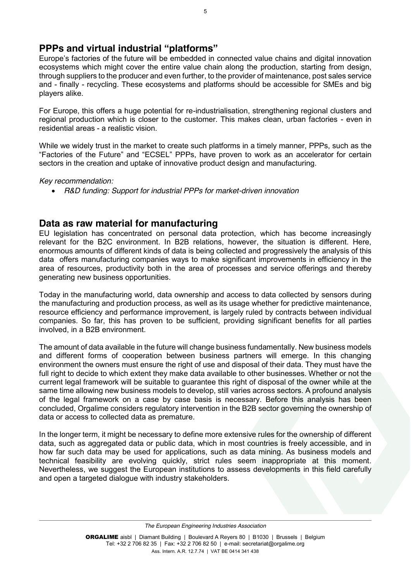## **PPPs and virtual industrial "platforms"**

Europe's factories of the future will be embedded in connected value chains and digital innovation ecosystems which might cover the entire value chain along the production, starting from design, through suppliers to the producer and even further, to the provider of maintenance, post sales service and - finally - recycling. These ecosystems and platforms should be accessible for SMEs and big players alike.

For Europe, this offers a huge potential for re-industrialisation, strengthening regional clusters and regional production which is closer to the customer. This makes clean, urban factories - even in residential areas - a realistic vision.

While we widely trust in the market to create such platforms in a timely manner, PPPs, such as the "Factories of the Future" and "ECSEL" PPPs, have proven to work as an accelerator for certain sectors in the creation and uptake of innovative product design and manufacturing.

### *Key recommendation:*

*R&D funding: Support for industrial PPPs for market-driven innovation*

### **Data as raw material for manufacturing**

EU legislation has concentrated on personal data protection, which has become increasingly relevant for the B2C environment. In B2B relations, however, the situation is different. Here, enormous amounts of different kinds of data is being collected and progressively the analysis of this data offers manufacturing companies ways to make significant improvements in efficiency in the area of resources, productivity both in the area of processes and service offerings and thereby generating new business opportunities.

Today in the manufacturing world, data ownership and access to data collected by sensors during the manufacturing and production process, as well as its usage whether for predictive maintenance, resource efficiency and performance improvement, is largely ruled by contracts between individual companies. So far, this has proven to be sufficient, providing significant benefits for all parties involved, in a B2B environment.

The amount of data available in the future will change business fundamentally. New business models and different forms of cooperation between business partners will emerge. In this changing environment the owners must ensure the right of use and disposal of their data. They must have the full right to decide to which extent they make data available to other businesses. Whether or not the current legal framework will be suitable to guarantee this right of disposal of the owner while at the same time allowing new business models to develop, still varies across sectors. A profound analysis of the legal framework on a case by case basis is necessary. Before this analysis has been concluded, Orgalime considers regulatory intervention in the B2B sector governing the ownership of data or access to collected data as premature.

In the longer term, it might be necessary to define more extensive rules for the ownership of different data, such as aggregated data or public data, which in most countries is freely accessible, and in how far such data may be used for applications, such as data mining. As business models and technical feasibility are evolving quickly, strict rules seem inappropriate at this moment. Nevertheless, we suggest the European institutions to assess developments in this field carefully and open a targeted dialogue with industry stakeholders.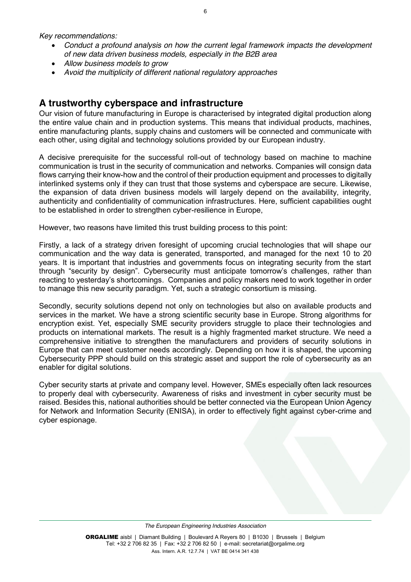*Key recommendations:*

- *Conduct a profound analysis on how the current legal framework impacts the development of new data driven business models, especially in the B2B area*
- *Allow business models to grow*
- *Avoid the multiplicity of different national regulatory approaches*

### **A trustworthy cyberspace and infrastructure**

Our vision of future manufacturing in Europe is characterised by integrated digital production along the entire value chain and in production systems. This means that individual products, machines, entire manufacturing plants, supply chains and customers will be connected and communicate with each other, using digital and technology solutions provided by our European industry.

A decisive prerequisite for the successful roll-out of technology based on machine to machine communication is trust in the security of communication and networks. Companies will consign data flows carrying their know-how and the control of their production equipment and processes to digitally interlinked systems only if they can trust that those systems and cyberspace are secure. Likewise, the expansion of data driven business models will largely depend on the availability, integrity, authenticity and confidentiality of communication infrastructures. Here, sufficient capabilities ought to be established in order to strengthen cyber-resilience in Europe,

However, two reasons have limited this trust building process to this point:

Firstly, a lack of a strategy driven foresight of upcoming crucial technologies that will shape our communication and the way data is generated, transported, and managed for the next 10 to 20 years. It is important that industries and governments focus on integrating security from the start through "security by design". Cybersecurity must anticipate tomorrow's challenges, rather than reacting to yesterday's shortcomings. Companies and policy makers need to work together in order to manage this new security paradigm. Yet, such a strategic consortium is missing.

Secondly, security solutions depend not only on technologies but also on available products and services in the market. We have a strong scientific security base in Europe. Strong algorithms for encryption exist. Yet, especially SME security providers struggle to place their technologies and products on international markets. The result is a highly fragmented market structure. We need a comprehensive initiative to strengthen the manufacturers and providers of security solutions in Europe that can meet customer needs accordingly. Depending on how it is shaped, the upcoming Cybersecurity PPP should build on this strategic asset and support the role of cybersecurity as an enabler for digital solutions.

Cyber security starts at private and company level. However, SMEs especially often lack resources to properly deal with cybersecurity. Awareness of risks and investment in cyber security must be raised. Besides this, national authorities should be better connected via the European Union Agency for Network and Information Security (ENISA), in order to effectively fight against cyber-crime and cyber espionage.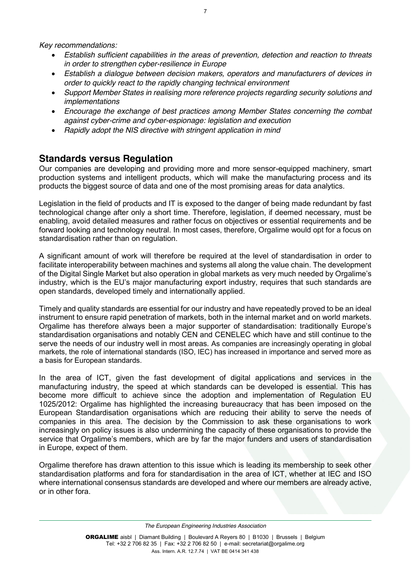*Key recommendations:*

- *Establish sufficient capabilities in the areas of prevention, detection and reaction to threats in order to strengthen cyber-resilience in Europe*
- *Establish a dialogue between decision makers, operators and manufacturers of devices in order to quickly react to the rapidly changing technical environment*
- *Support Member States in realising more reference projects regarding security solutions and implementations*
- *Encourage the exchange of best practices among Member States concerning the combat against cyber-crime and cyber-espionage: legislation and execution*
- *Rapidly adopt the NIS directive with stringent application in mind*

# **Standards versus Regulation**

Our companies are developing and providing more and more sensor-equipped machinery, smart production systems and intelligent products, which will make the manufacturing process and its products the biggest source of data and one of the most promising areas for data analytics.

Legislation in the field of products and IT is exposed to the danger of being made redundant by fast technological change after only a short time. Therefore, legislation, if deemed necessary, must be enabling, avoid detailed measures and rather focus on objectives or essential requirements and be forward looking and technology neutral. In most cases, therefore, Orgalime would opt for a focus on standardisation rather than on regulation.

A significant amount of work will therefore be required at the level of standardisation in order to facilitate interoperability between machines and systems all along the value chain. The development of the Digital Single Market but also operation in global markets as very much needed by Orgalime's industry, which is the EU's major manufacturing export industry, requires that such standards are open standards, developed timely and internationally applied.

Timely and quality standards are essential for our industry and have repeatedly proved to be an ideal instrument to ensure rapid penetration of markets, both in the internal market and on world markets. Orgalime has therefore always been a major supporter of standardisation: traditionally Europe's standardisation organisations and notably CEN and CENELEC which have and still continue to the serve the needs of our industry well in most areas. As companies are increasingly operating in global markets, the role of international standards (ISO, IEC) has increased in importance and served more as a basis for European standards.

In the area of ICT, given the fast development of digital applications and services in the manufacturing industry, the speed at which standards can be developed is essential. This has become more difficult to achieve since the adoption and implementation of Regulation EU 1025/2012: Orgalime has highlighted the increasing bureaucracy that has been imposed on the European Standardisation organisations which are reducing their ability to serve the needs of companies in this area. The decision by the Commission to ask these organisations to work increasingly on policy issues is also undermining the capacity of these organisations to provide the service that Orgalime's members, which are by far the major funders and users of standardisation in Europe, expect of them.

Orgalime therefore has drawn attention to this issue which is leading its membership to seek other standardisation platforms and fora for standardisation in the area of ICT, whether at IEC and ISO where international consensus standards are developed and where our members are already active, or in other fora.

*[The European Engineering Industries Association](http://www.orgalime.org/)*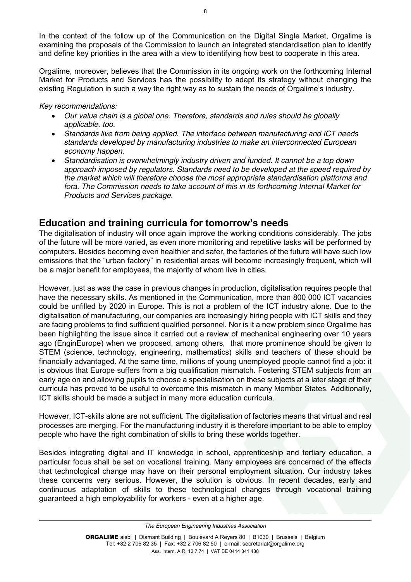In the context of the follow up of the Communication on the Digital Single Market, Orgalime is examining the proposals of the Commission to launch an integrated standardisation plan to identify and define key priorities in the area with a view to identifying how best to cooperate in this area.

Orgalime, moreover, believes that the Commission in its ongoing work on the forthcoming Internal Market for Products and Services has the possibility to adapt its strategy without changing the existing Regulation in such a way the right way as to sustain the needs of Orgalime's industry.

### *Key recommendations:*

- *Our value chain is a global one. Therefore, standards and rules should be globally applicable, too.*
- *Standards live from being applied. The interface between manufacturing and ICT needs standards developed by manufacturing industries to make an interconnected European economy happen.*
- *Standardisation is overwhelmingly industry driven and funded. It cannot be a top down approach imposed by regulators. Standards need to be developed at the speed required by the market which will therefore choose the most appropriate standardisation platforms and fora. The Commission needs to take account of this in its forthcoming Internal Market for Products and Services package.*

# **Education and training curricula for tomorrow's needs**

The digitalisation of industry will once again improve the working conditions considerably. The jobs of the future will be more varied, as even more monitoring and repetitive tasks will be performed by computers. Besides becoming even healthier and safer, the factories of the future will have such low emissions that the "urban factory" in residential areas will become increasingly frequent, which will be a major benefit for employees, the majority of whom live in cities.

However, just as was the case in previous changes in production, digitalisation requires people that have the necessary skills. As mentioned in the Communication, more than 800 000 ICT vacancies could be unfilled by 2020 in Europe. This is not a problem of the ICT industry alone. Due to the digitalisation of manufacturing, our companies are increasingly hiring people with ICT skills and they are facing problems to find sufficient qualified personnel. Nor is it a new problem since Orgalime has been highlighting the issue since it carried out a review of mechanical engineering over 10 years ago (EnginEurope) when we proposed, among others, that more prominence should be given to STEM (science, technology, engineering, mathematics) skills and teachers of these should be financially advantaged. At the same time, millions of young unemployed people cannot find a job: it is obvious that Europe suffers from a big qualification mismatch. Fostering STEM subjects from an early age on and allowing pupils to choose a specialisation on these subjects at a later stage of their curricula has proved to be useful to overcome this mismatch in many Member States. Additionally, ICT skills should be made a subject in many more education curricula.

However, ICT-skills alone are not sufficient. The digitalisation of factories means that virtual and real processes are merging. For the manufacturing industry it is therefore important to be able to employ people who have the right combination of skills to bring these worlds together.

Besides integrating digital and IT knowledge in school, apprenticeship and tertiary education, a particular focus shall be set on vocational training. Many employees are concerned of the effects that technological change may have on their personal employment situation. Our industry takes these concerns very serious. However, the solution is obvious. In recent decades, early and continuous adaptation of skills to these technological changes through vocational training guaranteed a high employability for workers - even at a higher age.

*[The European Engineering Industries Association](http://www.orgalime.org/)*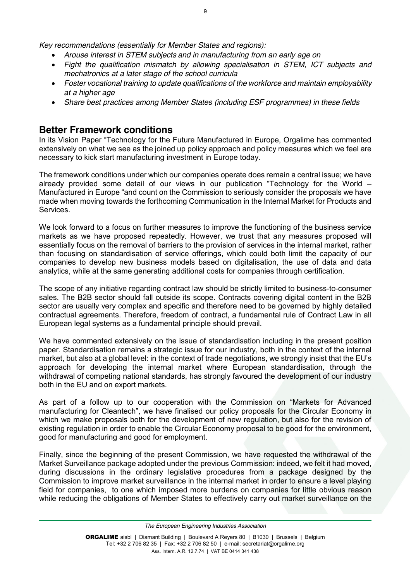*Key recommendations (essentially for Member States and regions):*

- *Arouse interest in STEM subjects and in manufacturing from an early age on*
- *Fight the qualification mismatch by allowing specialisation in STEM, ICT subjects and mechatronics at a later stage of the school curricula*
- *Foster vocational training to update qualifications of the workforce and maintain employability at a higher age*
- *Share best practices among Member States (including ESF programmes) in these fields*

# **Better Framework conditions**

In its Vision Paper "Technology for the Future Manufactured in Europe, Orgalime has commented extensively on what we see as the joined up policy approach and policy measures which we feel are necessary to kick start manufacturing investment in Europe today.

The framework conditions under which our companies operate does remain a central issue; we have already provided some detail of our views in our publication "Technology for the World – Manufactured in Europe "and count on the Commission to seriously consider the proposals we have made when moving towards the forthcoming Communication in the Internal Market for Products and **Services** 

We look forward to a focus on further measures to improve the functioning of the business service markets as we have proposed repeatedly. However, we trust that any measures proposed will essentially focus on the removal of barriers to the provision of services in the internal market, rather than focusing on standardisation of service offerings, which could both limit the capacity of our companies to develop new business models based on digitalisation, the use of data and data analytics, while at the same generating additional costs for companies through certification.

The scope of any initiative regarding contract law should be strictly limited to business-to-consumer sales. The B2B sector should fall outside its scope. Contracts covering digital content in the B2B sector are usually very complex and specific and therefore need to be governed by highly detailed contractual agreements. Therefore, freedom of contract, a fundamental rule of Contract Law in all European legal systems as a fundamental principle should prevail.

We have commented extensively on the issue of standardisation including in the present position paper. Standardisation remains a strategic issue for our industry, both in the context of the internal market, but also at a global level: in the context of trade negotiations, we strongly insist that the EU's approach for developing the internal market where European standardisation, through the withdrawal of competing national standards, has strongly favoured the development of our industry both in the EU and on export markets.

As part of a follow up to our cooperation with the Commission on "Markets for Advanced manufacturing for Cleantech", we have finalised our policy proposals for the Circular Economy in which we make proposals both for the development of new regulation, but also for the revision of existing regulation in order to enable the Circular Economy proposal to be good for the environment, good for manufacturing and good for employment.

Finally, since the beginning of the present Commission, we have requested the withdrawal of the Market Surveillance package adopted under the previous Commission: indeed, we felt it had moved, during discussions in the ordinary legislative procedures from a package designed by the Commission to improve market surveillance in the internal market in order to ensure a level playing field for companies, to one which imposed more burdens on companies for little obvious reason while reducing the obligations of Member States to effectively carry out market surveillance on the

*[The European Engineering Industries Association](http://www.orgalime.org/)*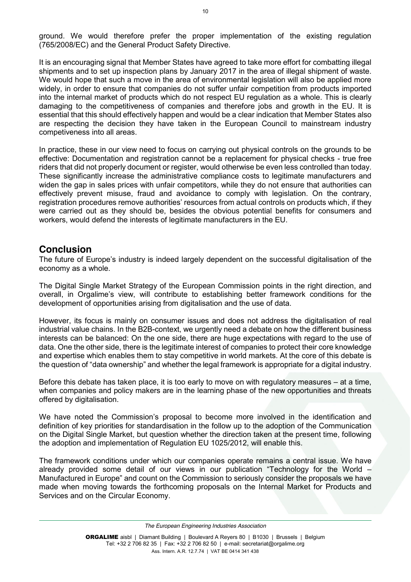ground. We would therefore prefer the proper implementation of the existing regulation (765/2008/EC) and the General Product Safety Directive.

It is an encouraging signal that Member States have agreed to take more effort for combatting illegal shipments and to set up inspection plans by January 2017 in the area of illegal shipment of waste. We would hope that such a move in the area of environmental legislation will also be applied more widely, in order to ensure that companies do not suffer unfair competition from products imported into the internal market of products which do not respect EU regulation as a whole. This is clearly damaging to the competitiveness of companies and therefore jobs and growth in the EU. It is essential that this should effectively happen and would be a clear indication that Member States also are respecting the decision they have taken in the European Council to mainstream industry competiveness into all areas.

In practice, these in our view need to focus on carrying out physical controls on the grounds to be effective: Documentation and registration cannot be a replacement for physical checks - true free riders that did not properly document or register, would otherwise be even less controlled than today. These significantly increase the administrative compliance costs to legitimate manufacturers and widen the gap in sales prices with unfair competitors, while they do not ensure that authorities can effectively prevent misuse, fraud and avoidance to comply with legislation. On the contrary, registration procedures remove authorities' resources from actual controls on products which, if they were carried out as they should be, besides the obvious potential benefits for consumers and workers, would defend the interests of legitimate manufacturers in the EU.

### **Conclusion**

The future of Europe's industry is indeed largely dependent on the successful digitalisation of the economy as a whole.

The Digital Single Market Strategy of the European Commission points in the right direction, and overall, in Orgalime's view, will contribute to establishing better framework conditions for the development of opportunities arising from digitalisation and the use of data.

However, its focus is mainly on consumer issues and does not address the digitalisation of real industrial value chains. In the B2B-context, we urgently need a debate on how the different business interests can be balanced: On the one side, there are huge expectations with regard to the use of data. One the other side, there is the legitimate interest of companies to protect their core knowledge and expertise which enables them to stay competitive in world markets. At the core of this debate is the question of "data ownership" and whether the legal framework is appropriate for a digital industry.

Before this debate has taken place, it is too early to move on with regulatory measures – at a time, when companies and policy makers are in the learning phase of the new opportunities and threats offered by digitalisation.

We have noted the Commission's proposal to become more involved in the identification and definition of key priorities for standardisation in the follow up to the adoption of the Communication on the Digital Single Market, but question whether the direction taken at the present time, following the adoption and implementation of Regulation EU 1025/2012, will enable this.

The framework conditions under which our companies operate remains a central issue. We have already provided some detail of our views in our publication "Technology for the World – Manufactured in Europe" and count on the Commission to seriously consider the proposals we have made when moving towards the forthcoming proposals on the Internal Market for Products and Services and on the Circular Economy.

*[The European Engineering Industries Association](http://www.orgalime.org/)*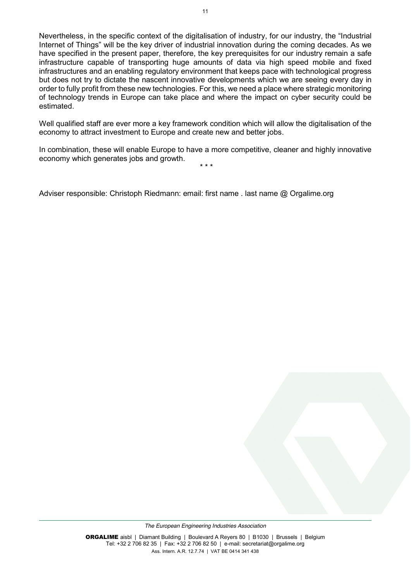Nevertheless, in the specific context of the digitalisation of industry, for our industry, the "Industrial Internet of Things" will be the key driver of industrial innovation during the coming decades. As we have specified in the present paper, therefore, the key prerequisites for our industry remain a safe infrastructure capable of transporting huge amounts of data via high speed mobile and fixed infrastructures and an enabling regulatory environment that keeps pace with technological progress but does not try to dictate the nascent innovative developments which we are seeing every day in order to fully profit from these new technologies. For this, we need a place where strategic monitoring of technology trends in Europe can take place and where the impact on cyber security could be estimated.

Well qualified staff are ever more a key framework condition which will allow the digitalisation of the economy to attract investment to Europe and create new and better jobs.

In combination, these will enable Europe to have a more competitive, cleaner and highly innovative economy which generates jobs and growth. \* \* \*

Adviser responsible: Christoph Riedmann: email: first name . last name @ Orgalime.org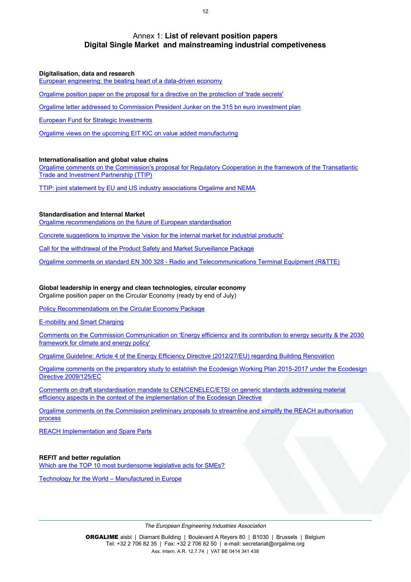### Annex 1: **List of relevant position papers Digital Single Market and mainstreaming industrial competiveness**

#### **Digitalisation, data and research**

[European engineering: the beating heart of a data-driven economy](http://www.orgalime.org/position/european-engineering-beating-heart-data-driven-economy)

[Orgalime position paper on the proposal for a directive on the protection of 'trade secrets'](http://www.orgalime.org/position/orgalime-position-paper-proposal-directive-protection-trade-secrets)

Orgalime letter addressed to Commission President Junker on the 315 bn euro investment plan

[European Fund for Strategic Investments](http://www.orgalime.org/position/european-fund-strategic-investments)

[Orgalime views on the upcoming EIT KIC on value added manufacturing](http://www.orgalime.org/position/orgalime-views-upcoming-eit-kic-value-added-manufacturing)

#### **Internationalisation and global value chains**

Orgalime comments on the Commission's proposal for Regulatory Cooperation in the framework of the Transatlantic Trade and Investment Partnership (TTIP)

[TTIP: joint statement by EU and US industry associations Orgalime and NEMA](http://www.orgalime.org/position/ttip-joint-statement-eu-and-us-industry-associations-orgalime-and-nema)

### **Standardisation and Internal Market**

[Orgalime recommendations on the future of European standardisation](http://www.orgalime.org/position/orgalime-recommendations-future-european-standardisation)

[Concrete suggestions to improve the 'vision for the internal market for industrial products'](http://www.orgalime.org/position/concrete-suggestions-improve-vision-internal-market-industrial-products)

Call for [the withdrawal of the Product Safety and Market Surveillance Package](http://www.orgalime.org/position/call-withdrawal-product-safety-and-market-surveillance-package)

Orgalime comments on standard EN 300 328 - Radio and [Telecommunications Terminal Equipment \(R&TTE\)](http://www.orgalime.org/position/possible-solutions-securing-presumption-conformity-automation-industry-view-workshop)

### **Global leadership in energy and clean technologies, circular economy**

Orgalime position paper on the Circular Economy (ready by end of July)

[Policy Recommendations on the Circular Economy Package](http://www.orgalime.org/position/policy-recommendations-circular-economy-package)

[E-mobility and Smart Charging](http://www.orgalime.org/position/e-mobility-and-smart-charging)

[Comments on the Commission Communication on 'Energy efficiency and its contribution to energy security & the 2030](http://www.orgalime.org/position/comments-commission-communication-energy-efficiency-and-its-contribution-energy-security)  [framework for climate and energy policy'](http://www.orgalime.org/position/comments-commission-communication-energy-efficiency-and-its-contribution-energy-security)

[Orgalime Guideline: Article 4 of the Energy Efficiency Directive \(2012/27/EU\) regarding Building Renovation](http://www.orgalime.org/position/orgalime-guideline-article-4-energy-efficiency-directive-201227eu-regarding-building)

[Orgalime comments on the preparatory study to establish the Ecodesign Working Plan 2015-2017 under the Ecodesign](http://www.orgalime.org/position/orgalime-comments-preparatory-study-establish-ecodesign-working-plan-2015-2017-under-0)  [Directive 2009/125/EC](http://www.orgalime.org/position/orgalime-comments-preparatory-study-establish-ecodesign-working-plan-2015-2017-under-0)

[Comments on draft standardisation mandate to CEN/CENELEC/ETSI on generic standards addressing material](http://www.orgalime.org/position/comments-draft-standardisation-mandate-cencenelecetsi-generic-standards-addressing-material)  [efficiency aspects in the context of the implementation of the Ecodesign Directive](http://www.orgalime.org/position/comments-draft-standardisation-mandate-cencenelecetsi-generic-standards-addressing-material)

[Orgalime comments on the Commission preliminary proposals to streamline and simplify the REACH authorisation](http://www.orgalime.org/position/orgalime-comments-commission-preliminary-proposals-streamline-and-simplify-reach)  [process](http://www.orgalime.org/position/orgalime-comments-commission-preliminary-proposals-streamline-and-simplify-reach)

[REACH Implementation and Spare Parts](http://www.orgalime.org/position/reach-implementation-and-spare-parts-0)

### **REFIT and better regulation**

[Which are the TOP 10 most burdensome legislative acts for SMEs?](http://www.orgalime.org/position/which-are-top-10-most-burdensome-legislative-acts-smes)

[Technology for the World](http://www.orgalime.org/sites/default/files/Orgalime_VP_Web_0.pdf) – Manufactured in Europe